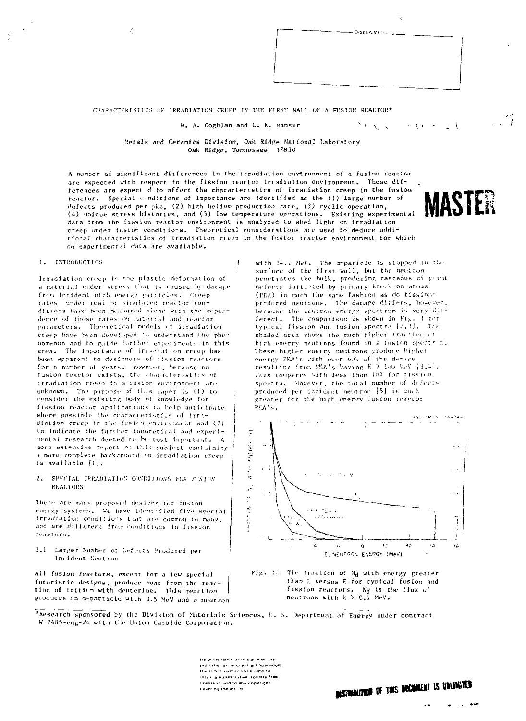$\mathbf{A}$ 

r, i

MASTFR

DISCLAIMED.

Na akan ka

# CHARACTERISTICS OF IRRADIATION CREEP IN THE FIRST WALL OF A FUSION REACTOR\*

### W. A. Coghlan and L. K. Mansur

### Metals and Ceramics Division, Oak Ridge National Laboratory Oak Ridge, Tennessee 37830

A number of significant differences in the irradiation environment of a fusion reactor are expected with respect to the fission reactor irradiation environment. These differences are expect d to affect the characteristics of irradiation creep in the fusion reactor. Special conditions of importance are identified as the (1) large number of defects produced per pka. (2) high helium production rate, (3) cyclic operation, (4) unique stress histories, and (5) low temperature operations. Existing experimental data from the fission reactor environment is analyzed to shed light on irradiation creep under fusion conditions. Theoretical considerations are used to deduce additional characteristics of irradiation creep in the fusion reactor environment for which no experimental data are available.

#### 1. INTRODUCTION

Irradiation creep is the plastic deformation of a material under stress that is caused by damage from incident nigh energy particles. Creep rates under real or simulated reactor conditions have been measured along with the dependence of these rates on material and reactor. parameters. Theoretical models of irradiation .<br>creep have been developed to understand the pher nomenon and to guide further experiments in this area. The importance of irradiation creep has been apparent to designers of fission reactors for a number of years. However, because no fusion reactor exists, the characteristics of itradiation creep in a fusion environment are unknown. The purpose of this caper is (1) to consider the existing body of knowledge for fission reactor applications to help anticipate where possible the characteristics of irradiation creep in the fusion environment and (2) to indicate the further theoretical and experinental research dected to be most important. A more extensive report on this subject containing i more complete background on irradiation creep. is available [1].

k,

 $2.1$ SPECIAL IRRADIATION CONDITIONS FOR FUSION **REACTORS** 

There are many proposed designs for fusion energy systems. We have identified five special irradiation conditions that are common to many, and are different from conditions in fission reactors.

2.1 Larger Number of Defects Produced per Incident Neutron

All fusion reactors, except for a few special futuristic designs, produce heat from the reaction of trition with deuterium. This reaction produces an a-particle with 3.5 MeV and a neutron

with 14.1 NeV. The a-paricle is stopped in the surface of the first wall, but the neutron penetrates the bulk, producing cascades of peint defects initiated by primary knock-on atoms (PKA) in much the same fashion as do fissionpreduced neutrons, The damage differs, however, because the acutron energy spectrum is very dirferent. The comparison is shown in Fig. 1 for typical fission and fusion spectra  $\{2,3\}$ . The shaded area shows the much higher traction of high energy neutrons found in a fusion spectric. These higher energy neutrons produce higher energy PKA's with over 60% of the damage resulting from PKA's having E > 100 keV [3,4]. This compares with less than 102 for fission. spectra. However, the total number of defects produced per incident neutron [5] is tauch greater for the high energy fusion reactor PEA's.





ARGREGATCh sponsored by the Division of Materials Sciences, U. S. Department of Energy under contract W-7405-eng-26 with the Union Carbide Corporation.

> By arresitance or this article. the published or recurrent acknowledges .<br>the U.S. Government Eright To ieta ni a nomesciusive i ovalty free The main and to any copyright

**DISTRIBUTION OF THIS DOCUMENT IS UNLIMITED**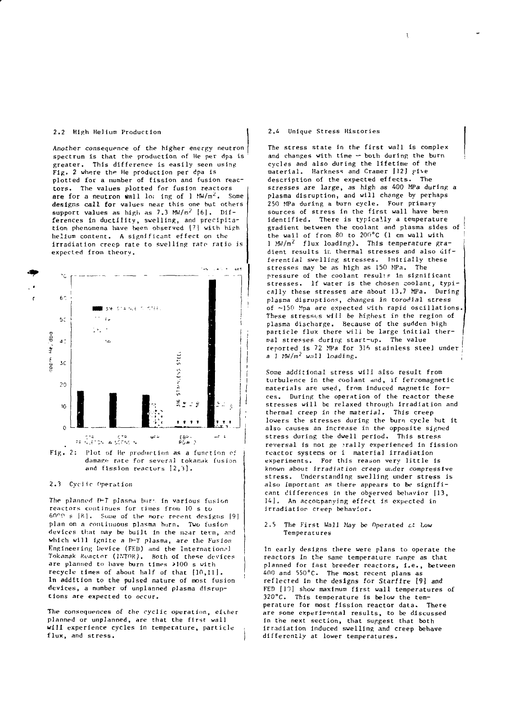### 2.2 High Helium Production

Another consequence of the higher energy neutron spectrum Is that the production of He per dpa is greater. This difference is easily seen using Fig. 2 where the He production per dpa is plotted foe a number of fission and fusion reactors. The values plotted for fusion reactors are for a neutron wall lo; ing of  $1 \text{ MW/m}^2$ , Some designs call for values near this one but others support values as high as  $7.3 \text{ MW/m}^2$  [6]. Differences in ductility, swell ing, and precipitation phenomena have been observed [7] with high helium content. A significant effect on the irradiation creep rate to swelling rate ratio is expected from theory.



 ${\tt Fig.~2:}$  . Plot of He production as a function **12,** and fisslon reactors damage rate for several tokamak fus

# 2.3 Cyclic Operation

The planned  $0-7$  plasna burt in various fusion reactors continues for times from 10 s to  $60^{\circ}$   $p$  s  $[8]$ . Some of the more recent designs  $[9]$ plan on a continuous plasma hurn, Two fusion devices that may be built in the near term, and which will ignite a D-T plasma, are the Fusion Engineering Device (FED) and the International Tokamak Reactor (INTOR). Both of these devices are planned to have burn times >100 s with recycle times of about half of that [10,11], In addition to the pulsed nature of most fusion devices, a number of unplanned plasma disrupt ions are expected to occur.

The consequences of the cyclic operation, either planned or unplanned, are that the first wal1 will experience cycles in temperature, particle flux, and stress.

### 2.4 Unique Stress Histories

The stress state in the first wall is complex and changes with time — both during the burn cvcles and also during the lifetime of the material. Harkness and Cramer [12J give description of the expected effects. The stresses are large, as high as 400 MPa during a plasma disruption, and wil1 change by perhaps 250 MPa during a burn cycle. Four primary sources of stress in the first wall have been identified. There is typically a temperature gradient between the coolant and plasma sides of the wall of from 80 to 200°C (1 cm wall with 1  $M/m^2$  flux loading). This temperature gradient results ir. thermal stresses and also differential swelling stresses. Initially these stresses may be as high as 150 MPa. The pressure of the coolant resulis in significant stresses. If water is the chosen coolant, typically these stresses are about 13.7 MPa. During plasna disruption?, changes in torodial stress of -150 Mpa are expected with rapid oscillations These stresses will be highest in the region of plasma discharge. Because of the sudden high particle flux there will be large initial thermal stresses during start-up. The value reported is 72 MPa for 316 stainless steel under

Some additional stress will also result from turbulence in the coolant and, if ferromagnetic materials are used, from induced magnetic forces. During the operation of the reactor these stresses will be relaxed through irradiation and thermal creep in the material. This creep lowers the stresses during the burn cycle but it also causes an increase in the opposite signed stress during the dwell period. This stress reversal is not ge ?rally experienced in fission reactor systems or i material irradiation experiments. For this reason very little is known about irradiation creep under compressive stress. Understanding swelling under stress is also important as there appears to be significant differences in the observed behavior [13, 14]. An accompanying effect is expected in irradiation creep behavior.

### 2.5 The First Wall May be Operated at Low Temperatures

In early designs there were plans to operate the reactors in the same temperature range as that planned for fast breeder reactors, i.e., between 400 and 550°C. The most recent plans as reflected in the designs for Starfire [9] and FED [10] show maximum first wall temperatures of 320°C. This temperature is below the temperature for most fission reactor data. There are some experimental results, to be discussed in the next section, that suggest that both irradiation induced swelling and creep behave differently at lower temperatures.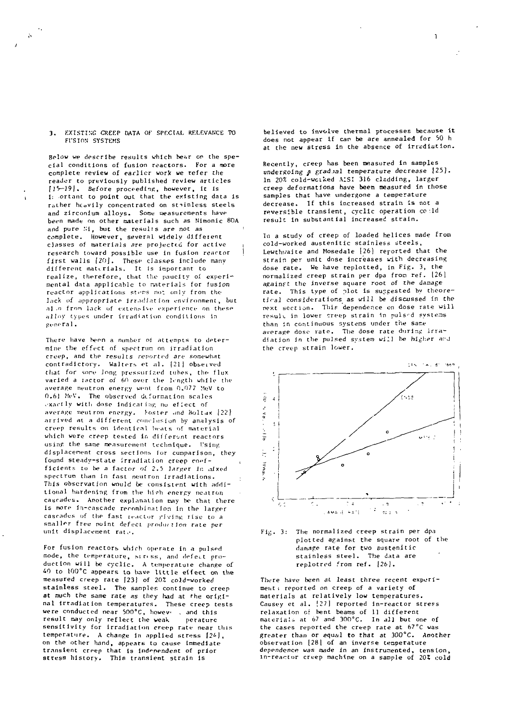### EXISTING CREEP DATA OF SPECIAL RELEVANCE TO **FUSION SYSTEMS**

 $\mathbf{t}_\bullet$ 

Below we describe results which bear on the special conditions of fusion reactors. For a more complete review of earlier work we tefer the reader to previously published review articles [15-19]. Before proceeding, however, it is i: ortant to point out that the existing data is rather heavily concentrated on strinless steels and zirconium alloys. Some measurements have been made on other materials such as Nimonic 80A and pure Mi, but the results are not as complete. However, several widely different classes of materials are projected for active research toward possible use in fusion reactor first walls [20]. These classes include many different materials. It is important to realize, therefore, that the paucity of experimental data applicable to materials for fusion reactor applications stems not only from the lack of appropriate irradiation environment, but also from lack of extensive experience on these alloy types under irradiation conditions in general.

There have been a number of attempts to determine the effect of spectrum on irradiation creep, and the results reported are somewhat contradictory. Walters et al. [21] observed that for some long pressurfzed tubes, the flux varied a ractor of 60 over the length while the average neutron energy went from 0.077 MeV to 0.61 MeV. The observed deformation scales exactly with dose indicating no effect of average neutron energy. Foster and Boltax [22] arrived at a different conclusion by analysis of creep results on identical heats of material which were creep tested in different reactors using the same measurement technique. Using displacement cross sections for cumparison, they found steady-state irradiation creep coefficients to be a factor of 2.5 larger in aixed spectrum than in fast neutron irradiations. This observation would be consistent with additional bardening from the high energy neutron cascades. Another explanation may be that there is more in-cascade recombination in the larger cascades of the fast reactor giving rise to a smaller free noint defect production rate per unit displacement rate.

For fusion reactors which operate in a pulsed mode, the temperature, siriss, and defect production will be cyclic. A temperature change of 40 to 100°C appears to have little effect on the measured creep rate [23] of 20% cold-worked stainless steel. The samples continue to creep at much the same rate as they had at the original irradiation temperatures. These creep tests were conducted near 500°C, however, and this result may only reflect the weak perature sensitivity for irradiation creep rate near this temperature. A change in applied stress [24], on the other hand, appears to cause immediate transient creep that is independent of prior stress history. This transient strain is

believed to involve thermal processes because it does not appear if can be are annealed for 50 h at the new stress in the absence of irrediation.

Recently, creep has been measured in samples undergoing a gradual temperature decrease [25]. In 20% cold-worked AISI 316 cladding, larger creep deformations have been measured in those samples that have undergone a temperature decrease. If this increased strain is not a reversible transient, cyclic operation cond result in substantial increased strain.

In a study of creep of loaded helices made from cold-worked austenitic stainless steels, Lewthwaite and Mosedale [26] reported that the strain per unit dose increases with decreasing dose rate. We have replotted, in Fig. 3, the normalized creep strain per dpa from ref. [26] against the inverse square root of the damage rate. This type of plot is suggested by theoretical considerations as will be discussed in the next section. This dependence on dose rate will result in lower creep strain in pulsed systems than in continuous systems under the same average dose rate. The dose rate during irradiation in the pulsed system will be higher and the creep strain lower.





There have been at least three recent experiment: reported on creep of a variety of<br>materials at relatively low temperatures. Causey et al. [27] reported in-reactor stress relaxation of bent beams of 11 different materials at 67 and  $300^{\circ}$ C. In all but one of the cases reported the creep rate at 67°C was greater than or equal to that at 300°C. Another observation [28] of an inverse temperature dependence was made in an instrumented, tension,<br>in-reactor creep machine on a sample of 20% cold

 $\mathbf{A}$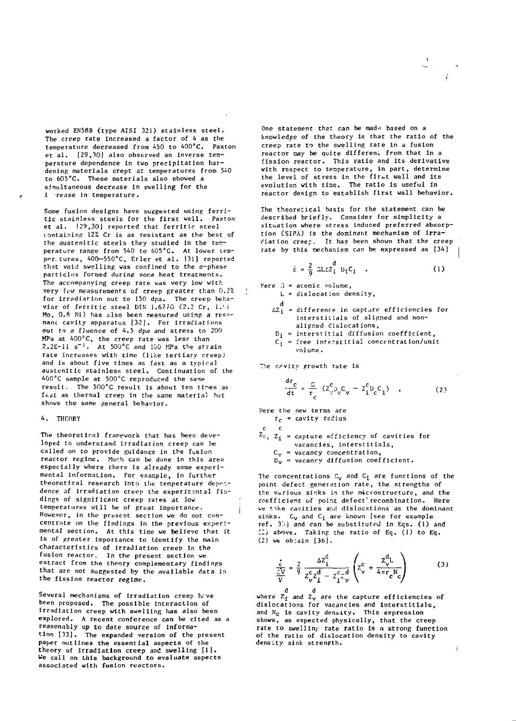worked EN58B (type AISI 321) stainless steel. The creep rate increased a factor of 4 as the temperature decreased from 450 to 400°C. Paxton et al. [29,30] also observed an inverse temperature dependence in two precipitation hardening materials crept at temperatures from 540 to 605°C. These materials also showed a simultaneous decrease in swelling for the i Tease in temperature.

Some fusion designs have suggested using ferritic stainless steels for the first wall. Paxton et al. |29,3O) reported that ferritic steel containing 12% Cr is as resistant as the best of the austenitic steels they studied in the temperature range from 540 to 605°C. At lower tem-<br>per.tures, 400—550°C. Erler et al. [31] reported that void swelling was confined to the o-phase particles formed during sone heat treatments. The accompanying creep rate was very low with very few measurements of creep greater than 0.2% for irradiarion out to 150 dpa. The creep behavior of ferritic steel DIN 1.6770 (2.2 Cr,  $1.4$ ) Mo, 0.8 Mi) has also been measured using a resonant cavity apparatus [32J. For Irradiations out to a fluence of 4.5 dpa and stress to 200 KPa at 400°C, the creep rate was less than 2.2E-11  $s^{-1}$ . At 500°C and 100 MPa the strain rate increases with time (like tertiary creep} and is about five tines as fast as a typical austenitic stainless steel. Continuation of the 400\*C sample at 500°C reproduced the same result. The 500°C result is about ten tines as fast as thermal creep in the same material but shows the same general behavior.

## 4. THEORY

The theoretical framework that has been developed to understand irradiation creep can be called on to provide guidance in the fusion reactor regime. Much can be done in this area especially where there is already some experimental information. For example, fn further tbeoretleal research into the temperature dependence of irradiation creep the experimental findings of significant creep rates at low temperatures will be of great importance. However, in the present sect ion we do not concentrate on the findings in the previous experimental section. At this tine we believe that it is of greater importance to identify the main characteristics of Irradiation creep in the fusion reactor. In the present section we extract from the theory complementary findings that are not suggested by the available data in the fission reactor regime.

Several mechanisms of irradiation creep have been proposed. The possible interaction of irradiation creep with swelling has also been explored. A recent conference can be cited as a reasonably up to date source of information {33]. The expanded version of the present paper out lines the essential aspects of the theory of Irradiation creep and swelling [!)• We call on this background to evaluate aspects associated with fusion reactors.

One statement that can be made based on a knowledge of the theory is that the ratio of the creep rate to the swelling rate in a fusion reactor may be quite different from that in a fission reactor. This ratio and its derivative with respect to temperature, in part, determine the level of stress in the first wall and its evolution with tiae. The ratio is useful in reactor design to establish first wall behavior.

The theoretical basis for the statement can be described briefly. Consider for simplicity a situation where stress induced preferred absorption (SIPA) is the dominant mechanism of irrariation creep. It has been shown that the creep rate by this nechanism can be expressed as [34]

$$
\dot{\epsilon} = \frac{2}{9} \operatorname{aLz}_{i}^{d} v_{i} c_{i} \qquad (1)
$$

Here  $\hat{n}$  = atomic volume,

 $L =$  dislocation density,

- d  $\Delta Z_1$  = difference in capture efficiencies for interstitials of aligned and non-<br>aligned dislocations.
- aligned dislocations,<br> $D_j$  = interstitial diffusion coefficient,  $C^{\dagger}_{i}$  = free interstitial concentration/unit volume.

The cavity growth rate is

$$
\frac{d^2 c}{dt} = \frac{c}{r_c} (z^c_y) c_y - z^c_y c_i, \qquad (2)
$$

Here the new terms are

dr.

 $r_c$  = cavity radius  $c \qquad c$  $\overline{z_{v}}$ ,  $\overline{z_{i}}$  = capture efficiency of cavities for vacancies, interstitials,  $C_v$  = vacancy concentration,  $D_v =$  vacancy diffusion coefficient.

The concentrations  $C_V$  and  $C_f$  are functions of the point defect generation rate, the strengths of the various sinks in the microstructure, and the coefficient of point defect recombination. Here we tike cavities ar.d dislocations as the dominant sinks.  $C_V$  and  $C_i$  are known [see for example ref. 35) and can be substituted in Eqs. (1) and  $\langle z \rangle$  above. Taking the ratio of Eq. (1) to Eq. (2) we ob:ain [36].

$$
\frac{\dot{\varepsilon}}{\frac{\dot{\varepsilon}V}{V}} = \frac{2}{9} \frac{\Delta z_i^d}{z_v^c z_i^d - z_i^c z_v^d} \left( z_v^c + \frac{z_v^d L}{4 \pi r_c^N c} \right) \tag{3}
$$

 $\overline{v}$   $\overline{v}^{2} \overline{v}^{2} i^{-} \overline{z}^{2} i \overline{v}$   $\overline{v}$   $\overline{c}$   $\overline{c}$ <br>
where  $\overline{z}_{1}$  and  $\overline{z}_{v}$  are the capture efficiencies of<br>
dislocations for vacancies and interstitials, and  $N_c$  is cavity density. This expression shows, as expected physically, that the creep rate to swelliny rate ratio is a strong function<br>of the ratio of dislocation density to cavity<br>density sink strength.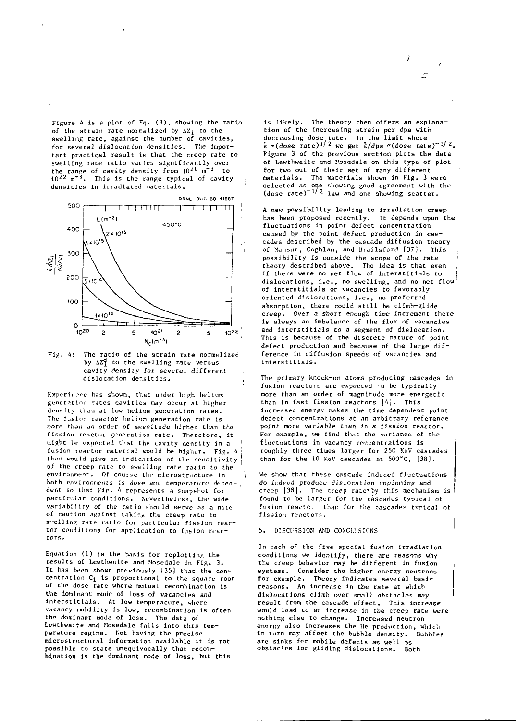Figure A is a plot of Eq. (3), showing the ratio of the strain rate normalized by  $\Delta Z_i$  to the swelling rate, against the number of cavities, for several dislocation densities. The important practical result is that the creep rate to swelling rate ratio varies significantly over<br>the range of cavity density from 10<sup>20</sup> m<sup>m3</sup> to  $10^{22}$  m<sup>-3</sup>. This is the range typical of cavity densities in irradiated materials.



Fig. 4: The ratio of the strain rate normalized by  $\Delta Z^d_i$  to the swelling rate versus cavity density for several different dislocation densities.

Ţ

Experierce has shown, that under high helium generation rates cavities may occur at higher density than at low helium generation rates. The fusion reactor heling generation rate is more than an order of magnitude higher than the fission reactor generation rate. Therefore, it might be expected that the cavity density in a fusion reactor material would be higher. Fig. 4 then would give an indication of the sensitivity of the creep rate to swelling rate ratio to the environment. Of course the microstructure in both environments is dose and temperature depen-. dent so that Flp. 4 represents a snapshot for particular conditions. Nevertheless, the wide variability of the ratio should serve as a note of caution against taking the creep rate to s"elling rate ratio for particular fission reactor conditions for application to fusion reactors.

Equation (1) is the basis for replotting the results of Lewthwaite and Mosedale in Fig, 3. It has been shown previously [35] that the concentration Cj is proportional to the square root of the dose rate where mutual recombination Is the dominant mode of loss of vacancies and tnterstitials. At low temperature, where vacancy mobility is low, recombination is often the dominant mode of loss. The data of Lcwthwaite and Mosedale falls Into this temperature regime. Not having the precise microstructur.il information available it is not possible to state unequivocally that recombination is the dominant node of loss, but this

is likely. The theory then offers an explanation of the increasing strain per dpa with decreasing dose rate. In the limit where  $\epsilon$  «(dose rate)<sup>1/2</sup> we get  $\epsilon$ /dpa "(dose rate)<sup>"1/2</sup>. Figure 3 of the previous section plots the data of Lewthwaite and Mosedale on this type of plot for two out of their set of many different materials. The materials shown in Fig. 3 were selected as one showing good agreement with the<br>(dose rate)<sup>-1/2</sup> law and one showing scatter.

A new possibility leading to irradiation creep has been proposed recently. It depends upon the fluctuations in point defect concentration caused by the point defect production in cascades described by the cascade diffusion theory of Mansur, Coghlan, and Brailsford [37]. This possibility is outside the scope of the rate theory described above. The idea is that even if there were no net flow of Interstitials to j dislocations, i.e., no swelling, and no net flow of interstitials or vacancies to favorably oriented dislocations, i.e., no preferred absorption, there could still be climb-glide creep. Over a short enough time increment there is always an imbalance of the flux of vacancies and interstitials to a segment of dislocation. This is because of the discrete nature of point defect production and because of the large difference in diffusion speeds of vacancies and interstitials.

The primary knock-on atoms producing cascades in fusion reactors are expected to be typically more than an order of magnitude more energetic than in fast fission reactors [4]. This increased energy makes the time dependent point defect concentrations at an arbitrary reference point more variable than in a fission reactor. For example, we find that the variance of the fluctuations in vacancy concentrations is roughly three times larger for 250 KeV cascades than for the 10 KeV cascades at 500°C, [38),

We show that these cascade induced fluctuations do indeed produce dislocation unpinning and creep [38]. The creep rate by this mechanism is found to be larger for the cascades typical of fusion reactc. than for the cascades typical of fission reactors.

### 5. DISCUSSION AND CONCLUSIONS

In each of the five special fusion irradiation conditions we identify, there are reasons why the creep behavior may be different In fusion systems. Consider the higher energy neutrons for example. Theory indicates several basic reasons. An increase in the rate at which dislocations climb over small obstacles may result from the cascade effect. This increase would lead to an increase in the creep rate were nothing else to change. Increased neutron energy also increases the He production, which in turn may affect the bubble density. Bubbles are sinks for mobile defects as well as obstacles for gliding dislocations. Both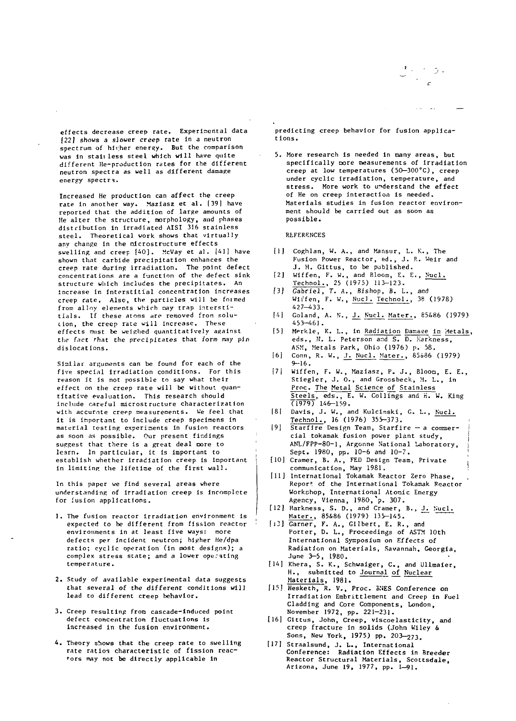effects decrease creep rate. Experimental data (22) shows a slower creep rate In a neutron spectrum of higher energy. But the comparison vas in stall less steel which will have quite different He-production rates for the different neutron spectra as well as different damage energy spectra.

Increased He production can affect the creep rate in another way. Maziasz et al. (39] have reported that the addition of large amounts of He alter the structure, morphology, and phases distribution in irradiated AISI 316 stainless steel. Theoretical work shows chat virtually any change in the nicrostructure effects swelling and creep [40]. McVay et al. [41] have shown that carbide precipitation enhances the creep rate during irradiation. The point defect concentrations are a function of the defect sink structure which includes the precipitates. An increase in interstitial concentration increases creep rate. Also, the particles will be formed from alloy elements which nay trap interstitials. If these atoms are removed from solution, the creep rate will increase. These effects mist be weighed quantitatively against the fact that the precipitates that form may pin dislocat ions.

Sinilar arguments can be found for each of the five special irradiation conditions. For this reason it is not possible to say what their effect on the creep rate will be without quantitative evaluation. This research should include careful microstructure characterization with accurate creep measurements. We feel that it is important to include creep specimens in material testing experiments in fusion reactors as soon ns possible. Our present findings suggest that there is a great deal nore to learn. In particular, it is important to establish whether irradiation creep is important in limiting the lifetlne of the first wall.

In this paper we find several areas where understanding of irradiation creep is incomplete for fusion applications.

- 1. The fusion reactor irradiation environment Is expected to be different from fission reactor environments in at least five ways: more defects per Incident neutron; higher He/dpa ratio; cyclic operation (in most designs); a complex stress state; and a lower operating temperature.
- 2. Scudy of available experimental data suggests that several of the different conditions will lead to different creep behavior.
- 3. Creep resulting from cascade-Induced point defect concentration fluctuations is Increased in the fusion environment.
- A. Theory shows that the creep rate to swelling rate ratios characteristic of fission reactors may not be directly applicable in

predicting creep behavior for fusion applications.

5. More research Is needed in many areas, but specifically more measurements of Irradiation creep at low temperatures (50—300°C), creep under cyclic Irradiation, temperature, and stress. More work to understand the effect of He on creep interaction is needed. Materials studies in fusion reactor environment should be carried out as soon as possible.

REFERENCES

- [1] Coghlan, W. A., and Mansur, L. K., The Fusion Power Reactor, ed., J. P.. Weir and J. H. Gittus, to be published.
- [2] Wiffen, F. W., and Bloom, E. E., Nucl. Technol., 25 (1975) 113-123.
- 13) Gabriel, T. A., Bishop, B. L., and Wiffen, F. W Nucl. Technol., 38 (1978)  $427 - 433$ .
- (4) Goland, A. N., <u>J. Nucl. Mater.</u>, 85686 (1979)  $453 - 461$ .
- [5] Merkle, K. L., in <u>Radiation Damage in</u> Hetals, eds., N. L. Peterson and S. D. Harkness, ASM, Metals Park, Ohio (1976) p. 58.
- [6] Conn, R. W., J. Nucl. Mater., 85686 (1979) 9-16.
- 171 Wiffen, F. W. , Maziasz, P. J. , Bloom., E. E., Stiegler, J. 0., and Groosbeck, M. L., in Proc. The Metal Science of Stainless Steels, eds., E. W. Collings and H. W. King<br>(1979) 146—159.
- (8| Davis, J. W., and Kulcinski, G. L., Nucl. Technol., 16 (1976) 355-373.
- |9] Starfire Design Team, Starfire a commercial tokamak fusion power plant study, ANL/FPP-80-1, Argonne National Laboratory, Sept. 1980, pp. 10-6 and 10-7.
- [10] Cramer, B. A., FED Design Team, Private
- communication, May 1981. [11] International Tokamak Reactor Zero Phase, Report of the International Tokamak Reactor Workshop, International Atomic Energy Agency, Vienna, 1980,"p. 307.
- [12] Harkness, S. D., and Cramer, B., J. Nucl.
- Mater., 85486 (1979) 135-145. [l3J Garner, F. A., Gilbert, E. R., and Porter, D. L., Proceedings of ASTM 10th International Symposium on Effects of Radiation on Materials, Savannah, Georgia, June 3-5, 1980.
- [14] Khera, S. K., Schwaiger, C., and Ullmaier, H., submitted to Journal of Nuclear Materials, 1981.
- [15] Hesketh, R. V., Proc. BNES Conference on Irradiation Embrittlement and Creep in Fuel Cladding and Core Components, London, November 1972, pp. 221-231.
- 116] Gittus, John, Creep, viscoelasticity, and creep fracture in solids (John Wiley & Sons, New York, 1975) pp. 203-273.
- [17] Straalsund, J. L., International Conference: Radiation Effects in Breeder Reactor Structural Materials, Scoccsdale, Arizona, June 19, 1977, pp. 1—91.